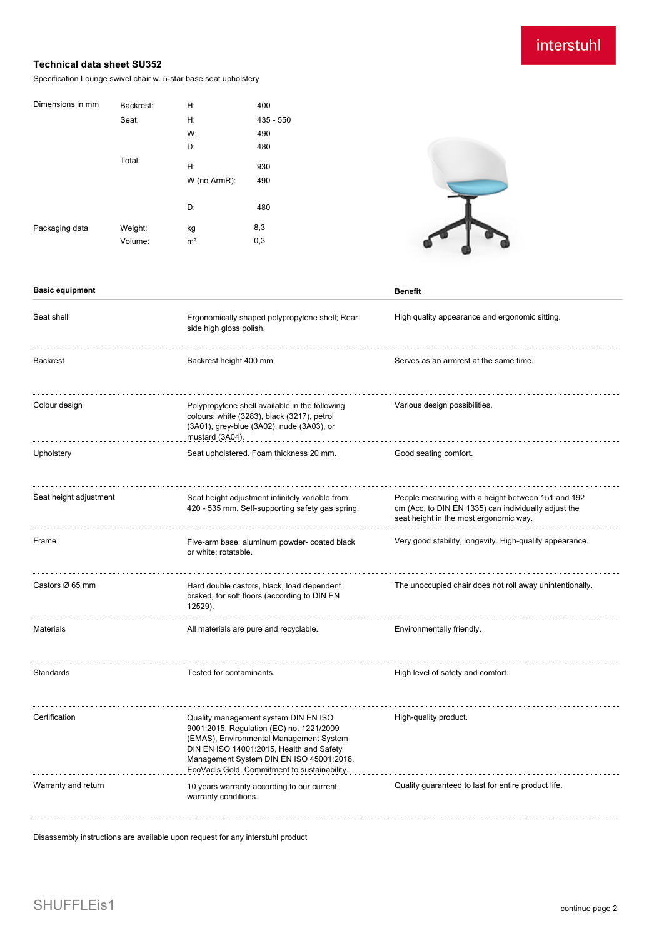## interstuhl

## **Technical data sheet SU352**

Specification Lounge swivel chair w. 5-star base,seat upholstery

| Dimensions in mm | Backrest: | H:             | 400         |
|------------------|-----------|----------------|-------------|
|                  | Seat:     | Н:             | $435 - 550$ |
|                  |           | W:             | 490         |
|                  |           | D:             | 480         |
|                  | Total:    | H:             | 930         |
|                  |           | W (no ArmR):   | 490         |
|                  |           |                |             |
|                  |           | D:             | 480         |
| Packaging data   | Weight:   | kg             | 8,3         |
|                  | Volume:   | m <sup>3</sup> | 0,3         |
|                  |           |                |             |



#### **Basic equipment Benefit**

| Seat shell             | Ergonomically shaped polypropylene shell; Rear<br>side high gloss polish.                                                                                                                                                                                           | High quality appearance and ergonomic sitting.                                                                                                       |
|------------------------|---------------------------------------------------------------------------------------------------------------------------------------------------------------------------------------------------------------------------------------------------------------------|------------------------------------------------------------------------------------------------------------------------------------------------------|
| <b>Backrest</b>        | Backrest height 400 mm.                                                                                                                                                                                                                                             | Serves as an armrest at the same time.                                                                                                               |
| Colour design          | Polypropylene shell available in the following<br>colours: white (3283), black (3217), petrol<br>(3A01), grey-blue (3A02), nude (3A03), or<br>mustard (3A04).                                                                                                       | Various design possibilities.                                                                                                                        |
| Upholstery             | Seat upholstered. Foam thickness 20 mm.                                                                                                                                                                                                                             | Good seating comfort.                                                                                                                                |
| Seat height adjustment | Seat height adjustment infinitely variable from<br>420 - 535 mm. Self-supporting safety gas spring.                                                                                                                                                                 | People measuring with a height between 151 and 192<br>cm (Acc. to DIN EN 1335) can individually adjust the<br>seat height in the most ergonomic way. |
| Frame                  | Five-arm base: aluminum powder- coated black<br>or white; rotatable.                                                                                                                                                                                                | Very good stability, longevity. High-quality appearance.                                                                                             |
| Castors Ø 65 mm        | Hard double castors, black, load dependent<br>braked, for soft floors (according to DIN EN<br>12529).                                                                                                                                                               | The unoccupied chair does not roll away unintentionally.                                                                                             |
| Materials              | All materials are pure and recyclable.                                                                                                                                                                                                                              | Environmentally friendly.                                                                                                                            |
| Standards              | Tested for contaminants.                                                                                                                                                                                                                                            | High level of safety and comfort.                                                                                                                    |
| Certification          | Quality management system DIN EN ISO<br>9001:2015, Regulation (EC) no. 1221/2009<br>(EMAS), Environmental Management System<br>DIN EN ISO 14001:2015, Health and Safety<br>Management System DIN EN ISO 45001:2018,<br>EcoVadis Gold. Commitment to sustainability. | High-quality product.                                                                                                                                |
| Warranty and return    | 10 years warranty according to our current<br>warranty conditions.                                                                                                                                                                                                  | Quality guaranteed to last for entire product life.                                                                                                  |

Disassembly instructions are available upon request for any interstuhl product